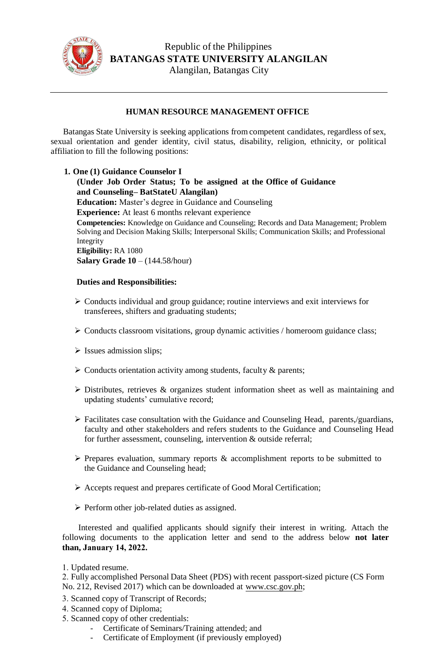

## **HUMAN RESOURCE MANAGEMENT OFFICE**

Batangas State University is seeking applications from competent candidates, regardless of sex, sexual orientation and gender identity, civil status, disability, religion, ethnicity, or political affiliation to fill the following positions:

## **1. One (1) Guidance Counselor I**

**(Under Job Order Status; To be assigned at the Office of Guidance and Counseling– BatStateU Alangilan) Education:** Master's degree in Guidance and Counseling **Experience:** At least 6 months relevant experience **Competencies:** Knowledge on Guidance and Counseling; Records and Data Management; Problem Solving and Decision Making Skills; Interpersonal Skills; Communication Skills; and Professional Integrity **Eligibility:** RA 1080 **Salary Grade 10** – (144.58/hour)

## **Duties and Responsibilities:**

- $\triangleright$  Conducts individual and group guidance; routine interviews and exit interviews for transferees, shifters and graduating students;
- $\triangleright$  Conducts classroom visitations, group dynamic activities / homeroom guidance class;
- $\triangleright$  Issues admission slips;
- $\triangleright$  Conducts orientation activity among students, faculty & parents;
- $\triangleright$  Distributes, retrieves & organizes student information sheet as well as maintaining and updating students' cumulative record;
- Facilitates case consultation with the Guidance and Counseling Head, parents,/guardians, faculty and other stakeholders and refers students to the Guidance and Counseling Head for further assessment, counseling, intervention & outside referral;
- $\triangleright$  Prepares evaluation, summary reports & accomplishment reports to be submitted to the Guidance and Counseling head;
- Accepts request and prepares certificate of Good Moral Certification;
- $\triangleright$  Perform other job-related duties as assigned.

Interested and qualified applicants should signify their interest in writing. Attach the following documents to the application letter and send to the address below **not later than, January 14, 2022.** 

1. Updated resume.

2. Fully accomplished Personal Data Sheet (PDS) with recent passport-sized picture (CS Form No. 212, Revised 2017) which can be downloaded at [www.csc.gov.ph;](http://www.csc.gov.ph/)

- 3. Scanned copy of Transcript of Records;
- 4. Scanned copy of Diploma;
- 5. Scanned copy of other credentials:
	- Certificate of Seminars/Training attended; and
	- Certificate of Employment (if previously employed)